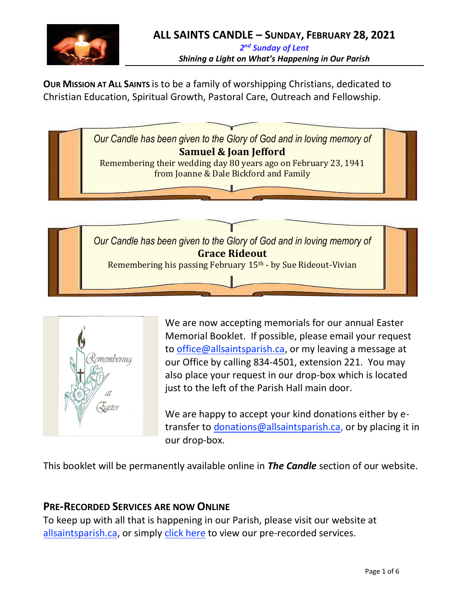

**OUR MISSION AT ALL SAINTS** is to be a family of worshipping Christians, dedicated to Christian Education, Spiritual Growth, Pastoral Care, Outreach and Fellowship.





We are now accepting memorials for our annual Easter Memorial Booklet. If possible, please email your request to [office@allsaintsparish.ca,](mailto:office@allsaintsparish.ca) or my leaving a message at our Office by calling 834-4501, extension 221. You may also place your request in our drop-box which is located just to the left of the Parish Hall main door.

We are happy to accept your kind donations either by etransfer to [donations@allsaintsparish.ca,](mailto:donations@allsaintsparish.ca) or by placing it in our drop-box.

This booklet will be permanently available online in *The Candle* section of our website.

## **PRE-RECORDED SERVICES ARE NOW ONLINE**

To keep up with all that is happening in our Parish, please visit our website at [allsaintsparish.ca,](/Users/ralphfagan/Documents/All%20Saints%20Parish/Candle/ASP%202021%20Candle/allsaintsparish.ca) or simply [click here](http://allsaintsparish.ca/recorded-church-services) to view our pre-recorded services.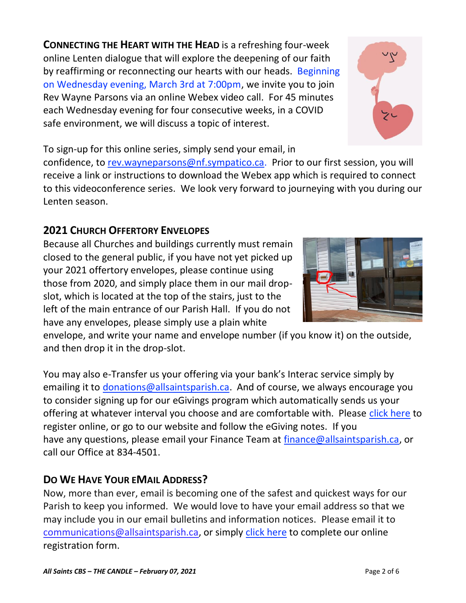*All Saints CBS – THE CANDLE – February 07, 2021* Page 2 of 6

**CONNECTING THE HEART WITH THE HEAD** is a refreshing four-week online Lenten dialogue that will explore the deepening of our faith by reaffirming or reconnecting our hearts with our heads. Beginning on Wednesday evening, March 3rd at 7:00pm, we invite you to join Rev Wayne Parsons via an online Webex video call. For 45 minutes each Wednesday evening for four consecutive weeks, in a COVID safe environment, we will discuss a topic of interest.

To sign-up for this online series, simply send your email, in

confidence, to [rev.wayneparsons@nf.sympatico.ca.](mailto:rev.wayneparsons@nf.sympatico.ca) Prior to our first session, you will receive a link or instructions to download the Webex app which is required to connect to this videoconference series. We look very forward to journeying with you during our Lenten season.

# **2021 CHURCH OFFERTORY ENVELOPES**

Because all Churches and buildings currently must remain closed to the general public, if you have not yet picked up your 2021 offertory envelopes, please continue using those from 2020, and simply place them in our mail dropslot, which is located at the top of the stairs, just to the left of the main entrance of our Parish Hall. If you do not have any envelopes, please simply use a plain white

envelope, and write your name and envelope number (if you know it) on the outside, and then drop it in the drop-slot.

You may also e-Transfer us your offering via your bank's Interac service simply by emailing it to [donations@allsaintsparish.ca.](mailto:donations@allsaintsparish.ca) And of course, we always encourage you to consider signing up for our eGivings program which automatically sends us your offering at whatever interval you choose and are comfortable with. Please [click here](http://allsaintsparish.ca/egiving-online-information-form) to register online, or go to our website and follow the eGiving notes. If you have [any](https://wfsites-to.websitecreatorprotool.com/870a5dd5.com/Admin/%7BSK_NODEID__22939341__SK%7D) questions, please email your Finance Team at [finance@allsaintsparish.ca,](mailto:finance@allsaintsparish.ca) or call our Office at 834-4501.

# **DO WE HAVE YOUR EMAIL ADDRESS?**

Now, more than ever, email is becoming one of the safest and quickest ways for our Parish to keep you informed. We would love to have your email address so that we may include you in our email bulletins and information notices. Please email it to [communications@allsaintsparish.ca,](mailto:communications@allsaintsparish.ca?subject=eMail%20Address%20Update) or simply [click here](http://allsaintsparish.ca/email_updates) to complete our online registration form.



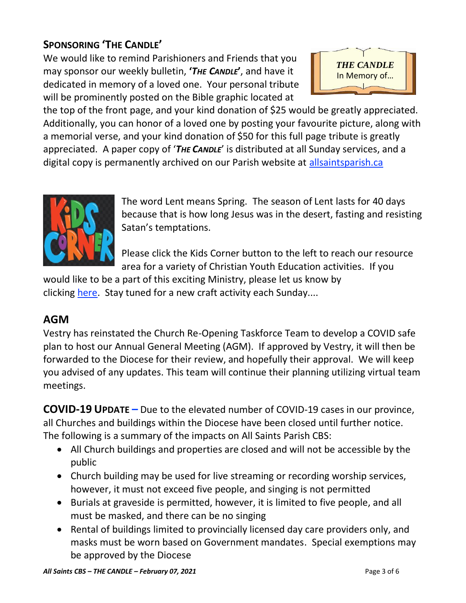# **SPONSORING 'THE CANDLE'**

We would like to remind Parishioners and Friends that you may sponsor our weekly bulletin, **'***THE CANDLE***'**, and have it dedicated in memory of a loved one. Your personal tribute will be prominently posted on the Bible graphic located at



the top of the front page, and your kind donation of \$25 would be greatly appreciated. Additionally, you can honor of a loved one by posting your favourite picture, along with a memorial verse, and your kind donation of \$50 for this full page tribute is greatly appreciated. A paper copy of '*THE CANDLE*' is distributed at all Sunday services, and a digital copy is permanently archived on our Parish website at [allsaintsparish.ca](http://allsaintsparish.ca/thecandle.html)



The word Lent means Spring. The season of Lent lasts for 40 days because that is how long Jesus was in the desert, fasting and resisting Satan's temptations.

Please [click](http://allsaintsparish.ca/kids-corner) the Kids Corner button to the left to reach our resource area for a variety of Christian Youth Education activities. If you

would like to be a part of this exciting Ministry, please let us know by clicking [here.](http://allsaintsparish.ca/index.html#comments) Stay tuned for a new craft activity each Sunday....

## **AGM**

Vestry has reinstated the Church Re-Opening Taskforce Team to develop a COVID safe plan to host our Annual General Meeting (AGM). If approved by Vestry, it will then be forwarded to the Diocese for their review, and hopefully their approval. We will keep you advised of any updates. This team will continue their planning utilizing virtual team meetings.

**COVID-19 UPDATE –** Due to the elevated number of COVID-19 cases in our province, all Churches and buildings within the Diocese have been closed until further notice. The following is a summary of the impacts on All Saints Parish CBS:

- All Church buildings and properties are closed and will not be accessible by the public
- Church building may be used for live streaming or recording worship services, however, it must not exceed five people, and singing is not permitted
- Burials at graveside is permitted, however, it is limited to five people, and all must be masked, and there can be no singing
- Rental of buildings limited to provincially licensed day care providers only, and masks must be worn based on Government mandates. Special exemptions may be approved by the Diocese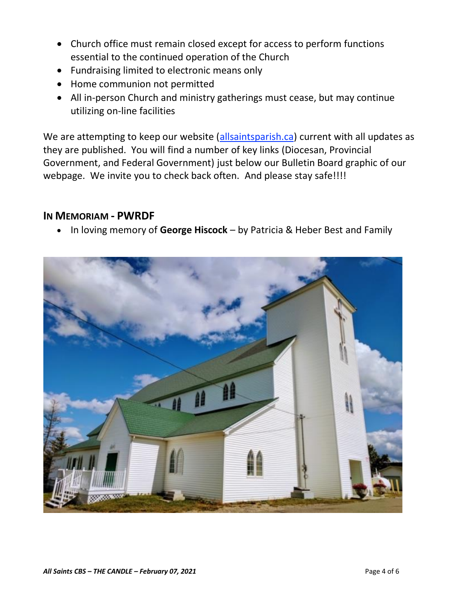- Church office must remain closed except for access to perform functions essential to the continued operation of the Church
- Fundraising limited to electronic means only
- Home communion not permitted
- All in-person Church and ministry gatherings must cease, but may continue utilizing on-line facilities

We are attempting to keep our website [\(allsaintsparish.ca\)](/Users/ralphfagan/Documents/All%20Saints%20Parish/Candle/ASP%202021%20Candle/allsaintsparish.ca) current with all updates as they are published. You will find a number of key links (Diocesan, Provincial Government, and Federal Government) just below our Bulletin Board graphic of our webpage. We invite you to check back often. And please stay safe!!!!

### **IN MEMORIAM - PWRDF**

• In loving memory of **George Hiscock** – by Patricia & Heber Best and Family

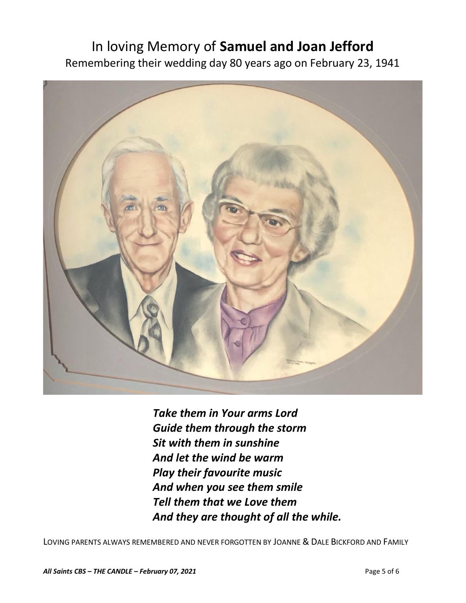# In loving Memory of **Samuel and Joan Jefford** Remembering their wedding day 80 years ago on February 23, 1941



*Take them in Your arms Lord Guide them through the storm Sit with them in sunshine And let the wind be warm Play their favourite music And when you see them smile Tell them that we Love them And they are thought of all the while.*

LOVING PARENTS ALWAYS REMEMBERED AND NEVER FORGOTTEN BY JOANNE & DALE BICKFORD AND FAMILY